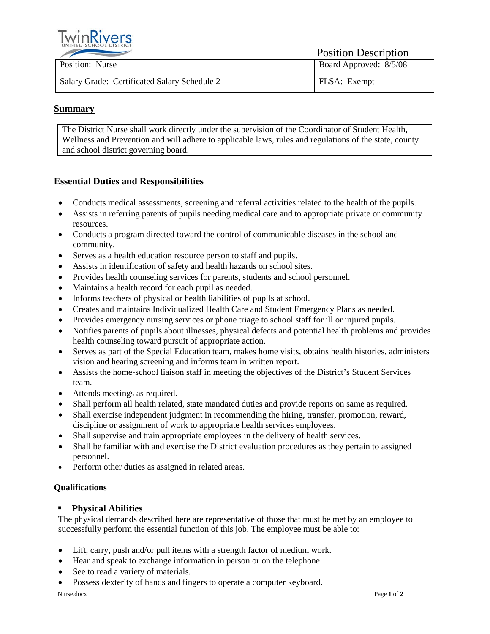

Position Description

| Position: Nurse                              | Board Approved: 8/5/08 |
|----------------------------------------------|------------------------|
| Salary Grade: Certificated Salary Schedule 2 | FLSA: Exempt           |

# **Summary**

The District Nurse shall work directly under the supervision of the Coordinator of Student Health, Wellness and Prevention and will adhere to applicable laws, rules and regulations of the state, county and school district governing board.

# **Essential Duties and Responsibilities**

- Conducts medical assessments, screening and referral activities related to the health of the pupils.
- Assists in referring parents of pupils needing medical care and to appropriate private or community resources.
- Conducts a program directed toward the control of communicable diseases in the school and community.
- Serves as a health education resource person to staff and pupils.
- Assists in identification of safety and health hazards on school sites.
- Provides health counseling services for parents, students and school personnel.
- Maintains a health record for each pupil as needed.
- Informs teachers of physical or health liabilities of pupils at school.
- Creates and maintains Individualized Health Care and Student Emergency Plans as needed.
- Provides emergency nursing services or phone triage to school staff for ill or injured pupils.
- Notifies parents of pupils about illnesses, physical defects and potential health problems and provides health counseling toward pursuit of appropriate action.
- Serves as part of the Special Education team, makes home visits, obtains health histories, administers vision and hearing screening and informs team in written report.
- Assists the home-school liaison staff in meeting the objectives of the District's Student Services team.
- Attends meetings as required.
- Shall perform all health related, state mandated duties and provide reports on same as required.
- Shall exercise independent judgment in recommending the hiring, transfer, promotion, reward, discipline or assignment of work to appropriate health services employees.
- Shall supervise and train appropriate employees in the delivery of health services.
- Shall be familiar with and exercise the District evaluation procedures as they pertain to assigned personnel.
- Perform other duties as assigned in related areas.

# **Qualifications**

# **Physical Abilities**

The physical demands described here are representative of those that must be met by an employee to successfully perform the essential function of this job. The employee must be able to:

- Lift, carry, push and/or pull items with a strength factor of medium work.
- Hear and speak to exchange information in person or on the telephone.
- See to read a variety of materials.
- Possess dexterity of hands and fingers to operate a computer keyboard.